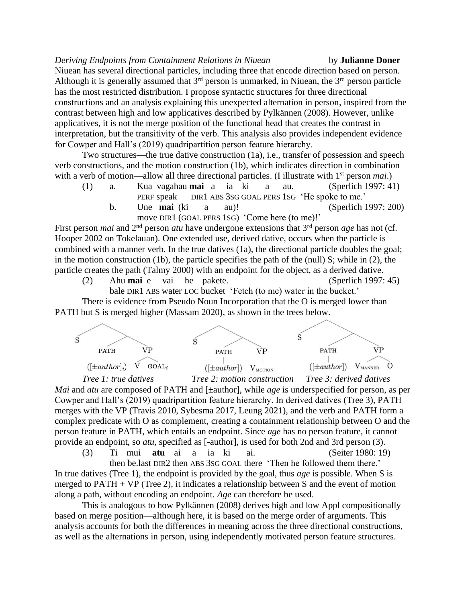*Deriving Endpoints from Containment Relations in Niuean* by **Julianne Doner** Niuean has several directional particles, including three that encode direction based on person. Although it is generally assumed that  $3<sup>rd</sup>$  person is unmarked, in Niuean, the  $3<sup>rd</sup>$  person particle has the most restricted distribution. I propose syntactic structures for three directional constructions and an analysis explaining this unexpected alternation in person, inspired from the contrast between high and low applicatives described by Pylkännen (2008). However, unlike applicatives, it is not the merge position of the functional head that creates the contrast in interpretation, but the transitivity of the verb. This analysis also provides independent evidence for Cowper and Hall's (2019) quadripartition person feature hierarchy.

Two structures—the true dative construction (1a), i.e., transfer of possession and speech verb constructions, and the motion construction (1b), which indicates direction in combination with a verb of motion—allow all three directional particles. (I illustrate with 1<sup>st</sup> person *mai*.)

(1) a. Kua vagahau **mai** a ia ki a au. (Sperlich 1997: 41) PERF speak DIR1 ABS 3SG GOAL PERS 1SG 'He spoke to me.' b. Une **mai** (ki a au)! (Sperlich 1997: 200) move DIR1 (GOAL PERS 1SG) 'Come here (to me)!'

First person *mai* and 2nd person *atu* have undergone extensions that 3rd person *age* has not (cf. Hooper 2002 on Tokelauan). One extended use, derived dative, occurs when the particle is combined with a manner verb. In the true datives (1a), the directional particle doubles the goal; in the motion construction (1b), the particle specifies the path of the (null) S; while in (2), the particle creates the path (Talmy 2000) with an endpoint for the object, as a derived dative.

(2) Ahu **mai** e vai he pakete. (Sperlich 1997: 45) bale DIR1 ABS water LOC bucket 'Fetch (to me) water in the bucket.' There is evidence from Pseudo Noun Incorporation that the O is merged lower than

PATH but S is merged higher (Massam 2020), as shown in the trees below.



*Tree 1: true datives Tree 2: motion construction Tree 3: derived datives Mai* and *atu* are composed of PATH and [ $\pm$ author], while *age* is underspecified for person, as per Cowper and Hall's (2019) quadripartition feature hierarchy. In derived datives (Tree 3), PATH merges with the VP (Travis 2010, Sybesma 2017, Leung 2021), and the verb and PATH form a complex predicate with O as complement, creating a containment relationship between O and the person feature in PATH, which entails an endpoint. Since *age* has no person feature, it cannot provide an endpoint, so *atu,* specified as [-author], is used for both 2nd and 3rd person (3).

(3) Ti mui **atu** ai a ia ki ai. (Seiter 1980: 19) then be.last DIR2 then ABS 3SG GOAL there 'Then he followed them there.' In true datives (Tree 1), the endpoint is provided by the goal, thus *age* is possible. When S is merged to  $PATH + VP$  (Tree 2), it indicates a relationship between S and the event of motion along a path, without encoding an endpoint. *Age* can therefore be used.

This is analogous to how Pylkännen (2008) derives high and low Appl compositionally based on merge position—although here, it is based on the merge order of arguments. This analysis accounts for both the differences in meaning across the three directional constructions, as well as the alternations in person, using independently motivated person feature structures.